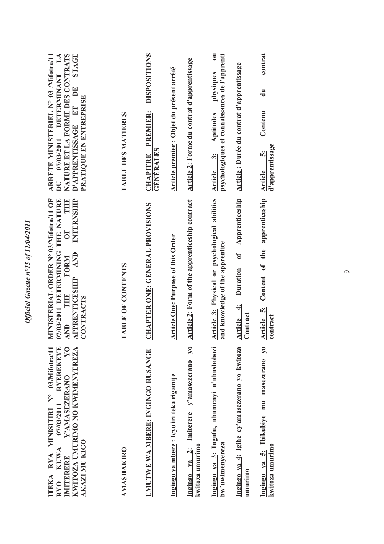| 1001<br>$\tilde{\bm{v}}$                 |
|------------------------------------------|
| $of III$ <sup>n</sup><br>١               |
| $I_0$                                    |
| י א ה הי<br>٢                            |
| $\gamma_{final}$<br>$\ddot{\phantom{0}}$ |

| NATURE ET LA FORME DES CONTRATS<br><b>STAGE</b><br>ARRETE MINISTERIEL N° 03 /Mifotra/11<br>07/03/2011 DETERMINANT LA<br>D'APPRENTISSAGE ET DE<br>PRATIQUE EN ENTREPRISE<br>$\overline{\mathbf{D}}$                 | TABLE DES MATIERES | <b>DISPOSITIONS</b><br><b>CHAPITRE PREMIER:</b><br><b>GENERALES</b> | Article premier : Objet du présent arrêté | Article 2: Forme du contrat d'apprentissage                                | $\overline{\mathbf{c}}$<br>psychologiques et connaissances de l'apprenti<br>Aptitudes physiques<br>Article 3: | Article: Durée du contrat d'apprentissage                      | contrat<br>Ju<br>Contenu<br>d'apprentissage<br>in.<br>Article            |
|--------------------------------------------------------------------------------------------------------------------------------------------------------------------------------------------------------------------|--------------------|---------------------------------------------------------------------|-------------------------------------------|----------------------------------------------------------------------------|---------------------------------------------------------------------------------------------------------------|----------------------------------------------------------------|--------------------------------------------------------------------------|
| MINISTERIAL ORDER Nº 03/Nifotra/11 OF<br>INTERNSHIP<br>OF THE<br>07/03/2011 DETERMINING THE NATURE<br>APPRENTICESHIP AND<br>FORM<br>AND THE<br>CONTRACTS                                                           | TABLE OF CONTENTS  | CHAPTER ONE: GENERAL PROVISIONS                                     | <b>Article One: Purpose of this Order</b> | Article 2: Form of the apprenticeship contract                             | Article 3: Physical or psychological abilities<br>and knowledge of the apprentice                             | of Apprenticeship<br>Duration<br>$\div$<br>Contract<br>Article | Content of the apprenticeship<br>Article 5:<br>contract                  |
| $\mathbf{y}$<br><b>RYEREKEYE</b><br>ITEKA RYA MINISITIRI N° 03/Mifotra/11<br>KWITOZA UMURIMO NO KWIMENYEREZA<br>Y'AMASEZERANO<br>07/03/2011<br><b>AKAZI MU KIGO</b><br><b>KUWA</b><br>IMITERERE<br>RY <sub>0</sub> | <b>AMASHAKIRO</b>  | UMUTWE WA MBERE: INGINGO RUSANGE                                    | Ingingo ya mbere: Icyo iri teka rigamije  | $\mathbf{y_0}$<br>Ingingo ya 2: Imiterere y'amasezerano<br>kwitoza umurimo | Ingingo ya 3: Ingufu, ubumenyi n'ubushobozi<br>bw'uwimenyereza                                                | Ingingo ya 4: Igihe cy'amasezerano yo kwitoza<br>umurimo       | $\mathbf{y}$<br>Ingingo ya 5: Ibikubiye mu masezerano<br>kwitoza umurimo |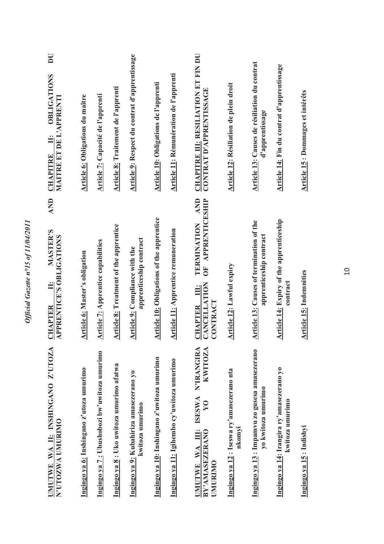| AND<br>OF APPRENTICESHIP<br><b>Article 10: Obligations of the apprentice</b><br><b>Article 14: Expiry of the apprenticeship</b><br>Article 13: Causes of termination of the<br>TERMINATION<br><b>Article 8: Treatment of the apprentice</b><br>Article 11: Apprentice remuneration<br>apprenticeship contract<br>apprenticeship contract<br><b>Article 7: Apprentice capabilities</b><br>Article 9: Compliance with the<br><b>Article 6: Master's obligation</b><br><b>Article 12: Lawful expiry</b><br><b>CANCELLATION</b><br>Ë<br>CONTRACT<br><b>CHAPTER</b><br>ISESWA N'IRANGIRA<br><b>KWITOZA</b><br>Ingingo ya 13: Impamvu zo gusesa amasezerano<br>Ingingo ya 7: Ubushobozi bw'uwitoza umurimo<br>Ingingo ya 10: Inshingano z'uwitoza umurimo<br>Ingingo ya 11: Igihembo cy'uwitoza umurimo<br>Ingingo ya 8 : Uko uwitoza umurimo afatwa<br>Ingingo ya 14: Irangira ry'amasezerano yo<br>Ingingo ya 6: Inshingano z'utoza umurimo<br>Ingingo ya 12 : Iseswa ry'amasezerano nta<br>Ingingo ya 9: Kubahiriza amasezerano yo<br>yo kwitoza umurimo<br>$\gtrsim$<br>kwitoza umurimo<br>nkomyi<br>UMUTWE WA III:<br>BY'AMASEZERANO<br>UMURIMO | UMUTWE WA II: INSHINGANO Z'UTOZA<br>N'UTOZWA UNURIMO | <b>AND</b><br><b>MASTER'S</b><br><b>APPRENTICE'S OBLIGATIONS</b><br>Ë<br><b>CHAPTER</b> | $\overline{\mathbf{D}}$<br><b>OBLIGATIONS</b><br>MAITRE ET DE L'APPRENTI<br>Ë<br><b>CHAPITRE</b> |
|------------------------------------------------------------------------------------------------------------------------------------------------------------------------------------------------------------------------------------------------------------------------------------------------------------------------------------------------------------------------------------------------------------------------------------------------------------------------------------------------------------------------------------------------------------------------------------------------------------------------------------------------------------------------------------------------------------------------------------------------------------------------------------------------------------------------------------------------------------------------------------------------------------------------------------------------------------------------------------------------------------------------------------------------------------------------------------------------------------------------------------------------|------------------------------------------------------|-----------------------------------------------------------------------------------------|--------------------------------------------------------------------------------------------------|
|                                                                                                                                                                                                                                                                                                                                                                                                                                                                                                                                                                                                                                                                                                                                                                                                                                                                                                                                                                                                                                                                                                                                                |                                                      |                                                                                         | Article 6: Obligations du maître                                                                 |
|                                                                                                                                                                                                                                                                                                                                                                                                                                                                                                                                                                                                                                                                                                                                                                                                                                                                                                                                                                                                                                                                                                                                                |                                                      |                                                                                         | Article 7: Capacité de l'apprenti                                                                |
|                                                                                                                                                                                                                                                                                                                                                                                                                                                                                                                                                                                                                                                                                                                                                                                                                                                                                                                                                                                                                                                                                                                                                |                                                      |                                                                                         | Article 8: Traitement de l'apprenti                                                              |
|                                                                                                                                                                                                                                                                                                                                                                                                                                                                                                                                                                                                                                                                                                                                                                                                                                                                                                                                                                                                                                                                                                                                                |                                                      |                                                                                         | Article 9: Respect du contrat d'apprentissage                                                    |
|                                                                                                                                                                                                                                                                                                                                                                                                                                                                                                                                                                                                                                                                                                                                                                                                                                                                                                                                                                                                                                                                                                                                                |                                                      |                                                                                         | Article 10: Obligations de l'apprenti                                                            |
|                                                                                                                                                                                                                                                                                                                                                                                                                                                                                                                                                                                                                                                                                                                                                                                                                                                                                                                                                                                                                                                                                                                                                |                                                      |                                                                                         | Article 11: Rémunération de l'apprenti                                                           |
|                                                                                                                                                                                                                                                                                                                                                                                                                                                                                                                                                                                                                                                                                                                                                                                                                                                                                                                                                                                                                                                                                                                                                |                                                      |                                                                                         | CHAPITRE III: RESILIATION ET FIN DU<br>CONTRAT D'APPRENTISSAGE                                   |
|                                                                                                                                                                                                                                                                                                                                                                                                                                                                                                                                                                                                                                                                                                                                                                                                                                                                                                                                                                                                                                                                                                                                                |                                                      |                                                                                         | Article 12: Résiliation de plein droit                                                           |
|                                                                                                                                                                                                                                                                                                                                                                                                                                                                                                                                                                                                                                                                                                                                                                                                                                                                                                                                                                                                                                                                                                                                                |                                                      |                                                                                         | Article 13: Causes de résiliation du contrat<br>d'apprentissage                                  |
|                                                                                                                                                                                                                                                                                                                                                                                                                                                                                                                                                                                                                                                                                                                                                                                                                                                                                                                                                                                                                                                                                                                                                | kwitoza umurimo                                      | contract                                                                                | Article 14: Fin du contrat d'apprentissage                                                       |
| <b>Article 15: Indemnities</b><br>Ingingo ya 15 : Indishyi                                                                                                                                                                                                                                                                                                                                                                                                                                                                                                                                                                                                                                                                                                                                                                                                                                                                                                                                                                                                                                                                                     |                                                      |                                                                                         | <b>Article 15: Dommages et intérêts</b>                                                          |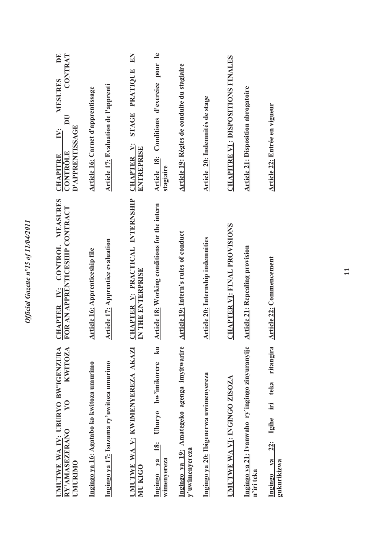| UMUTWE WA IV: UBURYO BWIGENZURA<br><b>KWITOZA</b><br>Ingingo ya 16: Agatabo ko kwitoza umurimo<br>Ingingo ya 17: Isuzuma ry'uwitoza umurimo<br>$\overline{\bf{Y}}$<br>RY'AMASEZERANO<br>UMURIMO | CHAPTER IV: CONTROL MEASURES<br>FOR AN APPRENTICESHIP CONTRACT<br><b>Article 17: Apprentice evaluation</b><br><b>Article 16: Apprenticeship file</b> | <b>CONTRAT</b><br>DE<br><b>MESURES</b><br>Article 17: Evaluation de l'apprenti<br>Article 16: Carnet d'apprentissage<br>$\overline{\mathbf{D}}$<br>D'APPRENTISSAGE<br>$\ddot{\Sigma}$<br>CONTRÔLE<br><b>CHAPITRE</b> |
|-------------------------------------------------------------------------------------------------------------------------------------------------------------------------------------------------|------------------------------------------------------------------------------------------------------------------------------------------------------|----------------------------------------------------------------------------------------------------------------------------------------------------------------------------------------------------------------------|
| $\mathbf{k}$<br>UMUTWE WA V: KWIMENYEREZA AKAZI<br>bw'imikorere<br>Uburyo<br>18:<br>Ingingo ya<br>MU KIGO                                                                                       | CHAPTER V: PRACTICAL INTERNSHIP<br>Article 18: Working conditions for the intern<br>IN THE ENTERPRISE                                                | Article 18: Conditions d'exercice pour le<br>EN<br>STAGE PRATIQUE<br>CHAPTER V:<br>ENTREPRISE                                                                                                                        |
| Ingingo ya 19: Amategeko agenga imyitwarire<br>y'uwimenyereza<br>wimenyereza                                                                                                                    | <b>Article 19: Intern's rules of conduct</b>                                                                                                         | Article 19: Règles de conduite du stagiaire<br>stagiaire                                                                                                                                                             |
| Ingingo ya 20: Ibigenerwa uwimenyereza                                                                                                                                                          | <b>Article 20: Internship indemnities</b>                                                                                                            | Article 20: Indemnités de stage                                                                                                                                                                                      |
| UMUTWE WA VI: INGINGO ZISOZA                                                                                                                                                                    | <b>CHAPTER VI: FINAL PROVISIONS</b>                                                                                                                  | <b>CHAPITRE VI: DISPOSITIONS FINALES</b>                                                                                                                                                                             |
| Ingingo ya 21: Ivanwaho ry'ingingo zinyuranyije<br>n'iri teka                                                                                                                                   | <b>Article 21: Repealing provision</b>                                                                                                               | <b>Article 21: Disposition abrogatoire</b>                                                                                                                                                                           |
| ritangira<br>teka<br>Igihe iri<br>$22$ :<br>Ingingo ya<br>gukurikizwa                                                                                                                           | <b>Article 22: Commencement</b>                                                                                                                      | <b>Article 22: Entrée en vigueur</b>                                                                                                                                                                                 |

Official Gazette nº15 of 11/04/2011 *Official Gazette n°15 of 11/04/2011*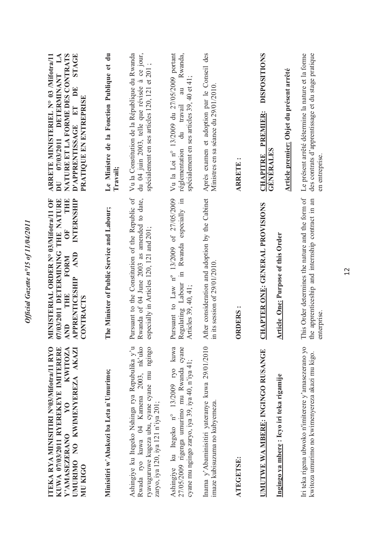| ITEKA RYA MINISITIRI N°03/Nifotra/11 RYO<br>KUWA 07/03/2011 RYEREKEYE IMITERERE<br><b>KWITOZA</b><br>UMURIMO NO KWIMENYEREZA AKAZI<br>YO<br>Y'AMASEZERANO<br>MU KIGO            | <b>MINISTERIAL ORDER Nº 03/Nifotra/11 OF</b><br>INTERNSHIP<br>THE NATURE<br>THE<br>$\overline{O}$<br>07/03/2011 DETERMINING<br>AND<br>FORM<br><b>APPRENTICESHIP</b><br>THE<br>CONTRACTS<br>AND | NATURE ET LA FORME DES CONTRATS<br><b>STAGE</b><br>ARRETE MINISTERIEL N° 03 /Mifotra/11<br>DETERMINANT LA<br>D'APPRENTISSAGE ET DE<br>PRATIQUE EN ENTREPRISE<br>07/03/2011<br>$\overline{\mathbf{D}}$ |
|---------------------------------------------------------------------------------------------------------------------------------------------------------------------------------|------------------------------------------------------------------------------------------------------------------------------------------------------------------------------------------------|-------------------------------------------------------------------------------------------------------------------------------------------------------------------------------------------------------|
| Minisitiri w'Abakozi ba Leta n'Umurimo;                                                                                                                                         | The Minister of Public Service and Labour;                                                                                                                                                     | Le Ministre de la Fonction Publique et du<br>Travail;                                                                                                                                                 |
| Ashingiye ku Itegeko Nshinga rya Repubulika y'u<br>Rwada ryo kuwa 04 Kamena 2003, nk'uko<br>ryavuguruwe kugeza ubu, cyane cyane mu ngingo<br>zaryo, iya 120, iya 121 n'iya 201; | Pursuant to the Constitution of the Republic of<br>Rwanda of 04 June 2003 as amended to date,<br>sspecially in Articles 120, 121 and 201;                                                      | du 04 juin 2003, telle que révisée à ce jour,<br>Vu la Constitution de la République du Rwanda<br>spécialement en ses articles 120, 121 et 201;                                                       |
| 27/05/2009 rigenga umurimo mu Rwanda cyane<br>Ashingiye ku Itegeko nº 13/2009 ryo kuwa<br>cyane mu ngingo zaryo, iya 39, iya 40, n'iya 41;                                      | Pursuant to Law nº 13/2009 of 27/05/2009<br>Rwanda especially in<br>$\Xi$<br>Regulating Labour<br>Articles 39, 40, 41;                                                                         | Vu la Loi nº 13/2009 du 27/05/2009 portant<br>Rwanda,<br>spécialement en ses articles 39, 40 et 41;<br>a<br>travail<br>$\vec{a}$<br>réglementation                                                    |
| Inama y'Abaminisitiri yateranye kuwa 29/01/2010<br>imaze kubisuzuma no kubyemeza.                                                                                               | After consideration and adoption by the Cabinet<br>$m$ its session of $29/01/2010$ .                                                                                                           | Après examen et adoption par le Conseil des<br>Ministres en sa séance du 29/01/2010.                                                                                                                  |
| <b>ATEGETSE:</b>                                                                                                                                                                | <b>ORDERS:</b>                                                                                                                                                                                 | <b>ARRETE:</b>                                                                                                                                                                                        |
| UMUTWE WA MBERE: INGINGO RUSANGE<br>Ingingo ya mbere: Icyo iri teka rigamije                                                                                                    | CHAPTER ONE: GENERAL PROVISIONS<br><b>Article One: Purpose of this Order</b>                                                                                                                   | <b>DISPOSITIONS</b><br>Article premier: Objet du présent arrêté<br>PREMIER:<br><b>GENERALES</b><br><b>CHAPITRE</b>                                                                                    |
| Iri teka rigena ubwoko n'imiterere y'amasezerano yo<br>kwitoza umurimo no kwimenyereza akazi mu kigo.                                                                           | This Order determines the nature and the form of<br>he apprenticeship and internship contract in an<br>enterprise                                                                              | des contrats d'apprentissage et du stage pratique<br>Le présent arrêté détermine la nature et la forme<br>en entreprise                                                                               |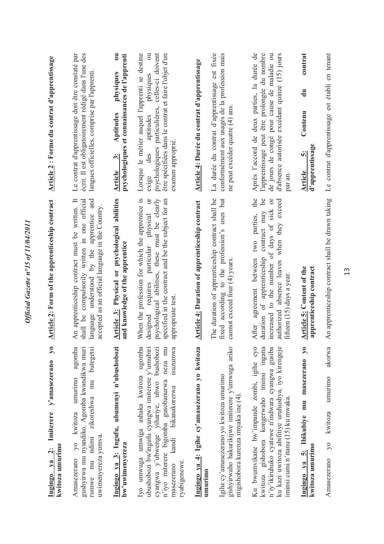| $\lambda$<br>y'amasezerano<br>Imiterere<br>kwitoza umurimo<br>Ingingo ya 2:                                                                                                                                                                                      | Article 2: Form of the apprenticeship contract                                                                                                                                                                                             | Article 2 : Forme du contrat d'apprentissage                                                                                                                                                                                |
|------------------------------------------------------------------------------------------------------------------------------------------------------------------------------------------------------------------------------------------------------------------|--------------------------------------------------------------------------------------------------------------------------------------------------------------------------------------------------------------------------------------------|-----------------------------------------------------------------------------------------------------------------------------------------------------------------------------------------------------------------------------|
| agomba<br>gushyirwa mu nyandiko. Agomba kwandikwa muri<br>rumwe mu ndimi zikoreshwa mu butegetsi<br>umurimo<br>kwitoza<br>uwimenyereza yumva.<br>$\overline{y}$<br>Amasezerano                                                                                   | An apprenticeship contract must be written. It<br>language understood by the apprentice and<br>shall be compulsorily written in one official<br>accepted as an official language in the Country.                                           | écrit. Il est obligatoirement rédigé dans l'une des<br>Le contrat d'apprentissage doit être constaté par<br>langues officielles, comprise par l'apprenti.                                                                   |
| Ingingo ya 3: Ingufu, ubumenyi n'ubushobozi<br>bw'uwimenyereza                                                                                                                                                                                                   | Article 3: Physical or psychological abilities<br>and knowledge of the apprentice                                                                                                                                                          | $\overline{\mathbf{c}}$<br>psychologiques et connaissances de l'apprenti<br>physiques<br>Aptitudes<br>$\ddot{\cdot}$<br><b>Article</b>                                                                                      |
| Iyo umwuga umwiga ashaka kwitoza ugomba<br>ubushobozi bw'ingufu cyangwa imiterere y'umubiri<br>bushobozi<br>neza mu<br>isuzumwa<br>n'iyo miterere bigomba gusobanurwa<br>cyangwa y'ubwenge yihariye, ubwo<br>bikanakorerwa<br>kandi<br>ryabigenewe<br>masezerano | When the profession for which the apprentice is<br>psychological abilities, these must be clearly<br>specified in the contract and be the subject for an<br>particular physical<br>requires<br>appropriate test.<br>designed               | Lorsque le métier auquel l'apprenti se destine<br>celles-ci doivent<br>être spécifiées dans le contrat et faire l'objet d'un<br>physiques<br>psychologiques particulières,<br>aptitudes<br>examen approprié<br>des<br>exige |
| Ingingo ya 4: Igihe cy'amasezerano yo kwitoza<br>umurimo                                                                                                                                                                                                         | <b>Article 4: Duration of apprenticeship contract</b>                                                                                                                                                                                      | Article 4: Durée du contrat d'apprentissage                                                                                                                                                                                 |
| gishyirwaho hakurikijwe imiterere y'umwuga ariko<br>Igihe cy'amasezerano yo kwitoza umurimo<br>ntigishobora kurenza imyaka ine (4)                                                                                                                               | The duration of apprenticeship contract shall be<br>fixed according to the profession's uses but<br>cannot exceed four (4) years                                                                                                           | La durée du contrat d'apprentissage est fixée<br>conformément aux usages de la profession mais<br>ne peut excéder quatre (4) ans                                                                                            |
| Ku bwumvikane bw'impande zombi, igihe cyo<br>kwitoza gishobora kongerwaho iminsi ingana<br>n'iy'ikiruhuko cyatewe n'indwara cyangwa gusiba<br>ku kazi uwitoza abifitiye uruhushya, iyo kirengeje<br>iminsi cumi n'itanu (15) ku mwaka.                           | the<br>of days of sick or<br>6 <sup>o</sup><br>authorized absence leaves when they exceed<br>contract may<br>two parties,<br>duration of apprenticeship<br>After agreement between<br>increased to the number<br>fifteen (15) days a year. | Après l'accord de deux parties, la durée de<br>l'apprentissage peut être prolongée du nombre<br>d'absence autorisée excédant quinze (15) jours<br>de jours de congé pour cause de maladie ou<br>par an.                     |
| Ingingo ya 5: Ibikubiye mu masezerano yo<br>kwitoza umurimo                                                                                                                                                                                                      | Article 5: Content of the<br>apprenticeship contract                                                                                                                                                                                       | contrat<br>$\overline{d}$<br>Contenu<br>d'apprentissage<br><br><b>Article</b>                                                                                                                                               |
| akorwa<br>umurimo<br>kwitoza<br>$\overline{y}$<br>Amasezerano                                                                                                                                                                                                    | An apprenticeship contract shall be drawn taking                                                                                                                                                                                           | Le contrat d'apprentissage est établi en tenant                                                                                                                                                                             |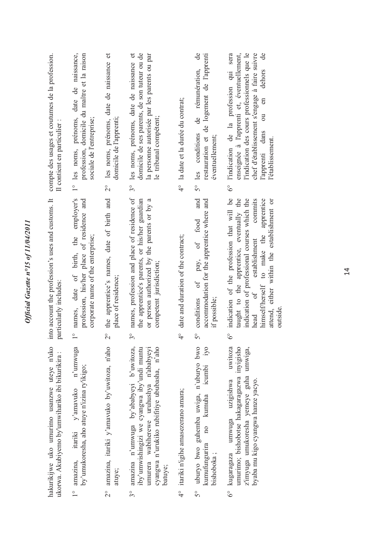| compte des usages et coutumes de la profession.<br>Il contient en particulier :                | 1° les noms, prénoms, date de naissance,<br>profession, domicile du maître et la raison<br>sociale de l'entreprise;        | les noms, prénoms, date de naissance et<br>domicile de l'apprenti;<br>$\frac{1}{2}$ | domicile de ses parents, de son tuteur ou de<br>les noms, prénoms, date de naissance et<br>la personne autorisée par les parents ou par<br>le tribunal compétent;<br>$3^{\circ}$                           | 4° la date et la durée du contrat;    | $\mathbf{d}\mathbf{e}$<br>restauration et de logement de l'apprenti<br>de rémunération,<br>conditions<br>éventuellement;<br>les<br>50 | sera<br>l'indication des cours professionnels que le<br>chef d'établissement s'engage à faire suivre<br>$\mathbf{d}$ e<br>enseignée à l'apprenti et, éventuellement,<br>dehors<br>l'indication de la profession qui<br>en<br>$\overline{a}$<br>l'apprenti dans<br>l'établissement.<br>$6^{\circ}$ |
|------------------------------------------------------------------------------------------------|----------------------------------------------------------------------------------------------------------------------------|-------------------------------------------------------------------------------------|------------------------------------------------------------------------------------------------------------------------------------------------------------------------------------------------------------|---------------------------------------|---------------------------------------------------------------------------------------------------------------------------------------|---------------------------------------------------------------------------------------------------------------------------------------------------------------------------------------------------------------------------------------------------------------------------------------------------|
|                                                                                                |                                                                                                                            |                                                                                     |                                                                                                                                                                                                            |                                       | and                                                                                                                                   |                                                                                                                                                                                                                                                                                                   |
| into account the profession's uses and customs. It<br>particularly includes:                   | 1° names, date of birth, the employer's<br>profession, his/her place of residence and<br>corporate name of the enterprise; | the apprentice's names, date of birth and<br>place of residence;                    | names, profession and place of residence of<br>the apprentice's parents, or his/her guardian<br>or person authorized by the parents or by a<br>competent jurisdiction;                                     | 4° date and duration of the contract; | accommodation for the apprentice where and<br>pay, of food<br>$\circ$ f<br>conditions<br>if possible;                                 | indication of the profession that will be<br>taught to the apprentice, eventually the<br>indication of professional courses which the<br>commits<br>apprentice<br>attend, either within the establishment or<br>himself/herself to make the<br>establishment<br>$\sigma$ f<br>head<br>outside.    |
|                                                                                                |                                                                                                                            | $\frac{1}{2}$                                                                       | $3^{\circ}$                                                                                                                                                                                                |                                       | $\tilde{\mathcal{S}}^{\circ}$                                                                                                         | $\delta^{\circ}$                                                                                                                                                                                                                                                                                  |
| hakurikijwe uko umurimo usanzwe uteye n'uko<br>ukorwa. Akubiyemo by'umwihariko ibi bikurikira: | n'umwuga<br>by'umukoresha, aho atuye n'izina ry'ikigo;<br>itariki y'amavuko<br>amazina,<br>$\frac{1}{1}$                   | amazina, itariki y'amavuko by'uwitoza, n'aho<br>atuye;<br>$\frac{1}{2}$             | umurera wabiherewe uruhushya n'ababyeyi<br>amazina n'umwuga by'ababyeyi b'uwitoza,<br>cyangwa n'urukiko rubifitiye ububasha, n'aho<br>iby'umwishingizi we cyangwa iby'undi muntu<br>batuye;<br>$3^{\circ}$ | 4° itariki n'igihe amasezerano amara; | uburyo bwo guhemba uwiga, n'uburyo bwo<br>iyo<br>icumbi<br>kumuha<br>10 <sub>o</sub><br>kumufungurira<br>bishoboka;<br>5°             | uwitoza<br>inyigisho<br>umwiga,<br>umurimo; bishobotse hakagaragazwa<br>z'imyuga umukoresha yemeye guha<br>uzigishwa<br>byaba mu kigo cyangwa hanze yacyo.<br>umwuga<br>kugaragaza<br>ိ                                                                                                           |
|                                                                                                |                                                                                                                            |                                                                                     |                                                                                                                                                                                                            |                                       |                                                                                                                                       |                                                                                                                                                                                                                                                                                                   |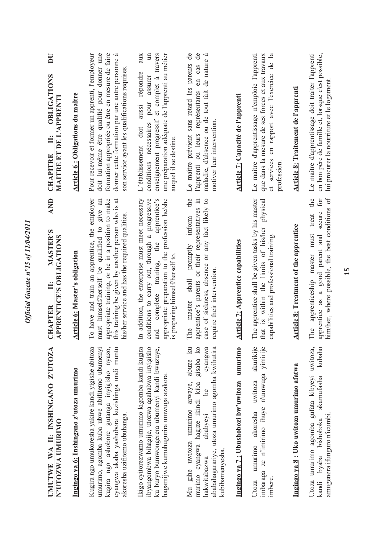| UMUTWE WA II: INSHINGANO Z'UTOZA<br>N'UTOZWA UMURIMO                                                                                                                                                                                                     | <b>AND</b><br><b>MASTER'S</b><br><b>APPRENTICE'S OBLIGATIONS</b><br>Ë<br>CHAPTER                                                                                                                                                                           | $\overline{\mathbf{D}}$<br><b>OBLIGATIONS</b><br>MAITRE ET DE L'APPRENTI<br>Ë<br><b>CHAPITRE</b>                                                                                                                                                        |
|----------------------------------------------------------------------------------------------------------------------------------------------------------------------------------------------------------------------------------------------------------|------------------------------------------------------------------------------------------------------------------------------------------------------------------------------------------------------------------------------------------------------------|---------------------------------------------------------------------------------------------------------------------------------------------------------------------------------------------------------------------------------------------------------|
| Ingingo ya 6: Inshingano z'utoza umurimo                                                                                                                                                                                                                 | Article 6: Master's obligation                                                                                                                                                                                                                             | Article 6: Obligations du maître                                                                                                                                                                                                                        |
| Kugira ngo umukoresha yakire kandi yigishe abitoza<br>kugira ngo ashobore gutanga inyigisho nyazo,<br>cyangwa akaba yashobora kuzishinga undi muntu<br>umurimo, agomba kuba ubwe abifitemo ubumenyi<br>akoresha uzifitemo ubuhanga.                      | To have and train an apprentice, the employer<br>must himself/herself be qualified to give an<br>appropriate training, or be in a position to make<br>his training be given by another person who is at<br>his/her service and has the required qualities. | formation appropriée ou être en mesure de faire<br>Pour recevoir et former un apprenti, l'employeur<br>doit lui-même être qualifié pour donner une<br>donner cette formation par une autre personne à<br>son service ayant les qualifications requises. |
| Ikigo cyitorezwamo umurimo kigomba kandi kugira<br>ibyangombwa bihagije, utozwa agahabwa inyigisho<br>ku buryo bumwongerera ubumenyi kandi bwuzuye,<br>hagamijwe kumuhugurira umwuga azakora.                                                            | in addition, the enterprise must meet necessary<br>appropriate preparation to the profession he/she<br>conditions to carry out, through a progressive<br>and complete training, the apprentice's<br>s preparing himself/herself to.                        | aux<br>$\Xi$<br>une préparation adéquate de l'apprenti au métier<br>enseignement progressif et complet à travers<br>répondre<br>assurer<br>pour<br>aussi<br>conditions nécessaires<br>L'établissement doit<br>auquel il se destine.                     |
| $\mathbb{R}$<br>$\overline{\mathbf{S}}$<br>ababahagarariye, utoza umurimo agomba kwihutira<br>cyangwa<br>gisaba<br>abuze<br>umurimo arwaye,<br>murimo cyangwa hagize ikindi kiba<br>be<br>ababyeyi<br>Mu gihe uwitoza<br>kubibamenyesha.<br>hakwitabazwa | the<br>apprentice's parents or their representatives in<br>case of sickness, absence or any fact likely to<br>inform<br>promptly<br>equire their intervention.<br>master shall<br>The                                                                      | Le maître prévient sans retard les parents de<br>en cas de<br>maladie, d'absence ou de tout fait de nature à<br>l'apprenti ou leurs représentants<br>motiver leur intervention.                                                                         |
| Ingingo ya 7: Ubushobozi bw'uwitoza umurimo                                                                                                                                                                                                              | <b>Article 7: Apprentice capabilities</b>                                                                                                                                                                                                                  | Article 7: Capacité de l'apprenti                                                                                                                                                                                                                       |
| akurikije<br>imbaraga ze n'imirimo ihuye n'umwuga yimirije<br>uwitoza<br>akoresha<br>umurimo<br>imbere.<br>Utoza                                                                                                                                         | The apprentice shall be given tasks by his master<br>hat is within the limits of his/her physical<br>capabilities and professional training.                                                                                                               | Le maître d'apprentissage n'emploie l'apprenti<br>en rapport avec l'exercice de la<br>que dans la mesure de ses forces et aux travaux<br>et services<br>profession.                                                                                     |
| Ingingo ya 8 : Uko uwitoza umurimo afatwa                                                                                                                                                                                                                | Article 8: Treatment of the apprentice                                                                                                                                                                                                                     | Article 8: Traitement de l'apprenti                                                                                                                                                                                                                     |
| Utoza umurimo agomba gufata kibyeyi uwitoza,<br>kubaho<br>akamufasha<br>amugenera ifunguro n'icumbi<br>bishoboka<br>byaba<br>kandi                                                                                                                       | nim/her, where possible, the best conditions of<br>the<br>apprentice as a good parent and secure for<br>The apprenticeship master must treat                                                                                                               | Le maître d'apprentissage doit traiter l'apprenti<br>en bon père de famille et, lorsque c'est possible,<br>lui procurer la nourriture et le logement.                                                                                                   |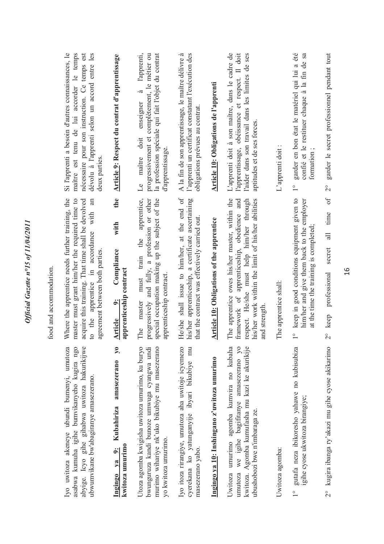|                                                                                                                                                                                       | rood and accommodation.                                                                                                                                                                                                                   |                                                                                                                                                                                                                 |
|---------------------------------------------------------------------------------------------------------------------------------------------------------------------------------------|-------------------------------------------------------------------------------------------------------------------------------------------------------------------------------------------------------------------------------------------|-----------------------------------------------------------------------------------------------------------------------------------------------------------------------------------------------------------------|
| abyige. Icyo gihe gihabwa uwitoza hakurikijwe<br>Iyo uwitoza akeneye ubundi bumenyi, umutoza<br>asabwa kumuha igihe bumvikanyeho kugira ngo<br>ubwumvikane bw'abagiranye amasezerano. | Where the apprentice needs further training, the<br>master must grant him/her the required time to<br>an<br>acquire this training. That time shall be devolved<br>to the apprentice in accordance with<br>agreement between both parties. | Si l'apprenti a besoin d'autres connaissances, le<br>maître est tenu de lui accorder le temps<br>dévolu à l'apprenti selon un accord entre les<br>nécessaire pour son instruction. Ce temps est<br>deux parties |
| $\mathbf{y_0}$<br>amasezerano<br>Kubahiriza<br>kwitoza umurimo<br>Ingingo ya 9:                                                                                                       | the<br>with<br>Compliance<br>apprenticeship contract<br>ö<br>Article                                                                                                                                                                      | Article 9: Respect du contrat d'apprentissage                                                                                                                                                                   |
| murimo wihariye nk'uko bikubiye mu masezerano<br>Utoza agomba kwigisha uwitoza umurimo, ku buryo<br>bwunguruza kandi bunoze umwuga cyangwa undi<br>yo kwitoza umurimo.                | apprentice,<br>progressively and fully, a profession or other<br>special occupation making up the subject of the<br>the<br>must train<br>apprenticeship contract<br>master<br>The                                                         | l'apprenti,<br>progressivement et complètement, le métier ou<br>la profession spéciale qui fait l'objet du contrat<br>à<br>enseigner<br>doit<br>d'apprentissage.<br>maître<br>Le                                |
| cyerekana ko yatunganyije ibyari bikubiye mu<br>Iyo itoza rirangiye, umutoza aha uwitoje icyemezo<br>masezerano yabo.                                                                 | He/she shall issue to him/her, at the end of<br>his/her apprenticeship, a certificate ascertaining<br>that the contract was effectively carried out.                                                                                      | l'apprenti un certificat constatant l'exécution des<br>A la fin de son apprentissage, le maître délivre à<br>obligations prévues au contrat.                                                                    |
| Ingingo ya 10: Inshingano z'uwitoza umurimo                                                                                                                                           | Article 10: Obligations of the apprentice                                                                                                                                                                                                 | Article 10: Obligations de l'apprenti                                                                                                                                                                           |
| we igihe bagifitanye amasezerano yo<br>kwitoza. Agomba kumufasha mu kazi ke akurikije<br>Uwitoza umurimo agomba kumvira no kubaha<br>ubushobozi bwe n'imbaraga ze.<br>umutoza         | The apprentice owes his/her master, within the<br>framework of apprenticeship, obedience and<br>respect. He/she must help him/her through<br>his/her work within the limit of his/her abilities<br>and strength                           | L'apprenti doit à son maître, dans le cadre de<br>l'apprentissage, obéissance et respect. Il doit<br>l'aider dans son travail dans les limites de ses<br>aptitudes et de ses forces.                            |
| Uwitoza agomba:                                                                                                                                                                       | The apprentice shall:                                                                                                                                                                                                                     | L'apprenti doit :                                                                                                                                                                                               |
| gutafa neza ibikoresho yahawe no kubisubiza<br>igihe cyose ukwitoza birangiye;<br>$\frac{1}{1}$                                                                                       | keep in good conditions equipment given to<br>him/her and give them back to the employer<br>at the time the training is completed;<br>$\overset{\circ}{\phantom{\circ}}$                                                                  | garder en bon état le matériel qui lui a été<br>confié et le restituer chaque à la fin de sa<br>formation<br>$\overset{\circ}{\mathbf{1}}$                                                                      |
| kugira ibanga ry'akazi mu gihe cyose akikarimo<br>$\frac{1}{2}$                                                                                                                       | $o$ f<br>time<br>$\overline{a}$<br>secret<br>professional<br>$2^{\circ}$ keep                                                                                                                                                             | garder le secret professionnel pendant tout<br>$\frac{1}{2}$                                                                                                                                                    |

- confié et le restituer chaque à la fin de sa
- $\frac{1}{2}$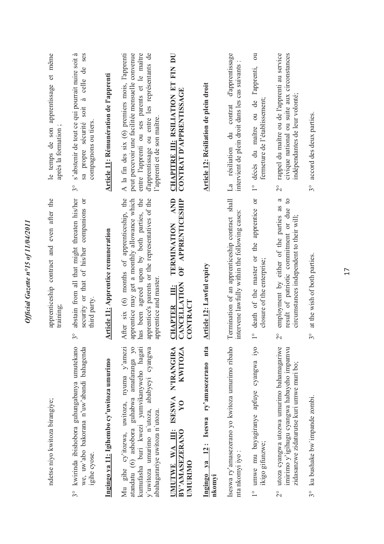| kwirinda ibishobora guhungabanya umutekano<br>we, uw'abo bakorana n'uw'abandi bahagenda<br>ndetse niyo kwitoza birangiye;<br>3°                                                                                        | abstain from all that might threaten his/her<br>apprenticeship contract and even after the<br>security or that of his/her companions or<br>training;<br>$3^{\circ}$                                                         | le temps de son apprentissage et même<br>s'abstenir de tout ce qui pourrait nuire soit à<br>ses<br>de<br>celle<br>$\tilde{\sigma}$<br>soit<br>propre sécurité<br>après la formation<br>sa<br>$3^{\circ}$                           |
|------------------------------------------------------------------------------------------------------------------------------------------------------------------------------------------------------------------------|-----------------------------------------------------------------------------------------------------------------------------------------------------------------------------------------------------------------------------|------------------------------------------------------------------------------------------------------------------------------------------------------------------------------------------------------------------------------------|
| Ingingo ya 11: Igihembo cy'uwitoza umurimo<br>igihe cyose.                                                                                                                                                             | <b>Article 11: Apprentice remuneration</b><br>third party.                                                                                                                                                                  | Article 11: Rémunération de l'apprenti<br>compagnons ou tiers.                                                                                                                                                                     |
| atandatu (6) ashobora guhabwa amafaranga yo<br>kumufasha buri kwezi yumvikanyweho hagati<br>y'uwitoza umurimo n'utoza, ababyeyi cyangwa<br>Mu gihe cy'itozwa, uwitoza, nyuma y'amezi<br>abahagarariye uwitoza n`utoza. | (6) months of apprenticeship, the<br>apprentice's parents or the representatives of the<br>has been agreed upon by both parties, the<br>apprentice may get a monthly allowance which<br>apprentice and master.<br>After six | peut percevoir une facilitée mensuelle convenue<br>d'apprentissage ou entre les représentants de<br>A la fin des six (6) premiers mois, l'apprenti<br>entre l'apprenti ou ses parents et le maître<br>l'apprenti et de son maître. |
| JMUTWE WA III: ISESWA N'IRANGIRA<br><b>KWITOZA</b><br>$\mathbf{y}$<br>BY'AMASEZERANO<br>UMURIMO                                                                                                                        | AND<br>OF APPRENTICESHIP<br>TERMINATION<br><b>CANCELLATION</b><br>CHAPTER III:<br>CONTRACT                                                                                                                                  | CHAPITRE III: RSILIATION ET FIN DU<br>CONTRAT D'APPRENTISSAGE                                                                                                                                                                      |
| nta<br>Ingingo ya 12: Iseswa ry'amasezerano<br>nkomyi                                                                                                                                                                  | <b>Article 12: Lawful expiry</b>                                                                                                                                                                                            | Article 12: Résiliation de plein droit                                                                                                                                                                                             |
| Iseswa ry'amasezerano yo kwitoza umurimo ribaho<br>nta nkomyi iyo:                                                                                                                                                     | Termination of an apprenticeship contract shall<br>intervene lawfully within the following cases:                                                                                                                           | d'apprentissage<br>intervient de plein droit dans les cas suivants<br>contrat<br>$\ddot{a}$<br>résiliation<br>$\mathbb{E}$                                                                                                         |
| umwe mu bayagiranye apfuye cyangwa iyo<br>ikigo gifunzwe;                                                                                                                                                              | $\sigma$<br>death of the master or the apprentice<br>closure of the enterprise;<br>$\frac{1}{\sqrt{2}}$                                                                                                                     | $\overline{\text{ou}}$<br>décès du maître ou de l'apprenti,<br>fermeture de l'établissement;<br>$\frac{1}{1}$                                                                                                                      |
| utoza cyangwa utozwa umurimo bahamagariwe<br>imirimo y'igihugu cyangwa habayeho impamvu<br>zidasanzwe zidaturutse kuri umwe muri bo;                                                                                   | $\mathfrak{a}$<br>$\circ$<br>employment by either of the parties as<br>result of patriotic commitment or due<br>circumstances independent to their will;<br>$\overline{c}$                                                  | rappel du maître ou de l'apprenti au service<br>civique national ou suite aux circonstances<br>indépendantes de leur volonté;<br>$\overset{\circ}{\sim}$                                                                           |
| ku bushake bw'impande zombi.                                                                                                                                                                                           | at the wish of both parties.<br>$3^{\circ}$                                                                                                                                                                                 | accord des deux parties.<br>$3^{\circ}$                                                                                                                                                                                            |

*Official Gazette n°15 of 11/04/2011* 

Official Gazette nº15 of 11/04/2011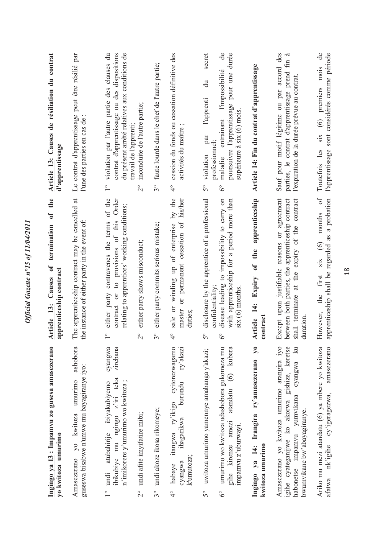| Ingingo ya 13: Impamvu zo gusesa amasezerano<br>yo kwitoza umurimo                                                                                                                    | the<br>$\mathbf{a}$<br>termination<br>Causes of<br>apprenticeship contract<br>Article 13:                                                                         | Article 13: Causes de résiliation du contrat<br>d'apprentissage                                                                                                                               |
|---------------------------------------------------------------------------------------------------------------------------------------------------------------------------------------|-------------------------------------------------------------------------------------------------------------------------------------------------------------------|-----------------------------------------------------------------------------------------------------------------------------------------------------------------------------------------------|
| ashobora<br>guseswa bisabwe n'umwe mu bayagiranye iyo:<br>umurimo<br>Amasezerano yo kwitoza                                                                                           | The apprenticeship contract may be cancelled at<br>the instance of either party in the event of:                                                                  | Le contrat d'apprentissage peut être résilié par<br>l'une des parties en cas de :                                                                                                             |
| cyangwa<br>zirebana<br>ibikubiye mu ngingo z'iri teka<br>n'imikorere y'umurimo wo kwitoza;<br>atubahirije ibiyakubiyemo<br>undi<br>$\frac{1}{1}$                                      | either party contravenes the terms of the<br>contract or to provisions of this Order<br>relating to apprentices' working conditions;                              | contrat d'apprentissage ou des dispositions<br>du présent arrêté relatives aux conditions de<br>violation par l'autre partie des clauses du<br>travail de l'apprenti;<br>$\frac{1}{\sqrt{2}}$ |
| undi afite imyifatire mibi;<br>$\frac{1}{2}$                                                                                                                                          | either party shows misconduct;<br>$\frac{1}{2}$                                                                                                                   | inconduite de l'autre partie;<br>$\overset{\circ}{\sim}$                                                                                                                                      |
| undi akoze ikosa rikomeye;<br>$3^{\circ}$                                                                                                                                             | either party commits serious mistake;<br>$\widetilde{\mathcal{S}}^{\circ}$                                                                                        | faute lourde dans le chef de l'autre partie;<br>$3^{\circ}$                                                                                                                                   |
| itangwa ry'ikigo cyitorezwagamo<br>ry'akazi<br>burundu<br>ihagarikwa<br>k'umutoza;<br>cyangwa<br>habaye<br>$\frac{1}{4}$                                                              | by the<br>his/her<br>permanent cessation of<br>winding up of enterprise<br>öľ<br>sale or<br>master<br>duties;<br>$\frac{1}{4}$                                    | cession du fonds ou cessation définitive des<br>activités du maître<br>$\frac{1}{4}$                                                                                                          |
| uwitoza umurimo yamennye amabanga y'akazi;<br>50                                                                                                                                      | disclosure by the apprentice of a professional<br>confidentiality;<br>$\mathcal{S}^{\circ}$                                                                       | secret<br>$\ddot{a}$<br>l'apprenti<br>par<br>professionnel:<br>violation<br>$5^{\circ}$                                                                                                       |
| (6) kubera<br>umurimo wo kwitoza udashobora gukomeza mu<br>atandatu<br>amezi<br>impamvu z'uburwayi.<br>gihe kirenze<br>$\delta^{\circ}$                                               | with apprenticeship for a period more than<br>disease leading to impossibility to carry on<br>$six(6)$ months.<br>$6^{\circ}$                                     | $\frac{e}{\sigma}$<br>poursuivre l'apprentissage pour une durée<br>l'impossibilité<br>supérieure à six $(6)$ mois<br>entrainant<br>maladie<br>$\delta^{\circ}$                                |
| $\mathbf{y}$<br>Irangira ry'amasezerano<br>14:<br>kwitoza umurimo<br>Ingingo ya                                                                                                       | apprenticeship<br>the<br>ð<br>Expiry<br>$\frac{4}{1}$<br>contract<br><b>Article</b>                                                                               | Article 14: Fin du contrat d'apprentissage                                                                                                                                                    |
| Amasezerano yo kwitoza umurimo arangira iyo<br>igihe cyateganijwe ko akorwa gishize, keretse<br>$\mathbb{E}$<br>cyangwa<br>habonetse impamvu yumvikana<br>bwumvikane bw'abayagiranye. | Except upon justifiable reasons or agreement<br>between both parties, the apprenticeship contract<br>expiry of the contract<br>shall terminate at the<br>duration | Sauf pour motif légitime ou par accord des<br>-ದ<br>parties, le contrat d'apprentissage prend fin<br>l'expiration de la durée prévue au contrat                                               |
| amasezerano<br>Ariko mu mezi atandatu (6) ya mbere yo kwitoza<br>nk'igihe cy'igeragezwa,<br>afatwa                                                                                    | $\sigma$ f<br>apprenticeship shall be regarded as a probation<br>months<br>$\circledcirc$<br>$\overline{\text{SIX}}$<br>first<br>the<br>However,                  | $\mathrm{d}\mathrm{e}$<br>l'apprentissage sont considérés comme période<br>mois<br>premiers<br>$\circledcirc$<br>$\overline{\text{SIX}}$<br>Toutefois les                                     |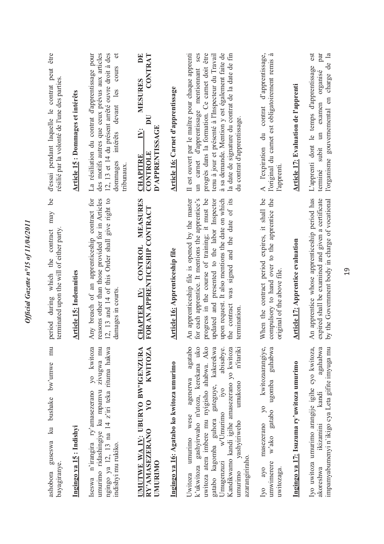| mu<br>ku bushake bw'umwe<br>ashobora guseswa<br>bayagiranye.                                                                                                                                                                                                                                                                                             | ٥e<br>may<br>period during which the contract<br>terminated upon the will of either party                                                                                                                                                                                                                             | être<br>d'essai pendant laquelle le contrat peut<br>résilié par la volonté de l'une des parties.                                                                                                                                                                                                                                              |
|----------------------------------------------------------------------------------------------------------------------------------------------------------------------------------------------------------------------------------------------------------------------------------------------------------------------------------------------------------|-----------------------------------------------------------------------------------------------------------------------------------------------------------------------------------------------------------------------------------------------------------------------------------------------------------------------|-----------------------------------------------------------------------------------------------------------------------------------------------------------------------------------------------------------------------------------------------------------------------------------------------------------------------------------------------|
| Ingingo ya 15: Indishyi                                                                                                                                                                                                                                                                                                                                  | <b>Article 15: Indemnities</b>                                                                                                                                                                                                                                                                                        | Article 15 : Dommages et intérêts                                                                                                                                                                                                                                                                                                             |
| yo kwitoza<br>umurimo ridashingiye ku mpamvu zivugwa mu<br>ngingo ya 12, 13 na 14 z'iri teka rituma hakwa<br>Iseswa n'irangira ry'amasezerano<br>indishyi mu rukiko.                                                                                                                                                                                     | Any breach of an apprenticeship contract for<br>reasons other than those provided for in Articles<br>2, 13 and 14 of this Order shall give right to<br>damages in courts.                                                                                                                                             | des motifs autres que ceux prévus aux articles<br>12, 13 et 14 du présent arrêté ouvre droit à des<br>$\sigma$<br>La résiliation du contrat d'apprentissage pour<br>cours<br>les<br>devant<br>intérêts<br>dommages<br>tribunaux.                                                                                                              |
| UMUTWE WA IV: UBURYO BWIGENZURA<br><b>KWITOZA</b><br>$\overline{\bf{y}}$<br>RY'AMASEZERANO<br>UMURIMO                                                                                                                                                                                                                                                    | MEASURES<br>OR AN APPRENTICESHIP CONTRACT<br><b>CONTROL</b><br>IV:<br><b>CHAPTER<br/>FOR AN AP</b>                                                                                                                                                                                                                    | $\mathbf{E}$<br><b>CONTRAT</b><br>MESURES<br>E<br>D'APPRENTISSAGE<br>$\ddot{\Xi}$<br>CONTROLE<br><b>CHAPITRE</b>                                                                                                                                                                                                                              |
| Ingingo ya 16: Agatabo ko kwitoza umurimo                                                                                                                                                                                                                                                                                                                | <b>Article 16: Apprenticeship file</b>                                                                                                                                                                                                                                                                                | Article 16: Carnet d'apprentissage                                                                                                                                                                                                                                                                                                            |
| agenerwa agatabo<br>k'ukwitoza gashyirwaho n'utoza, kerekana uko<br>uwitoza atera imbere mu nyigisho ahabwa. Ako<br>gatabo kagomba guhora gateguye, kakerekwa<br>Kandikwamo kandi igihe amasezerano yo kwitoza<br>n'itariki<br>abisabye.<br>umukono<br>Umugenzuzi w'Umurimo iyo<br>umurimo wese<br>yashyiriweho<br>azarangiriraho.<br>umurimo<br>Uwitoza | An apprenticeship file is opened by the master<br>progress in the course of training; it must be<br>upon request. It also mentions the date on which<br>or each apprentice. It mentions the apprentice's<br>updated and presented to the labor Inspector<br>he contract was signed and the date of its<br>termination | Il est ouvert par le maître pour chaque apprenti<br>ses<br>progrès dans la formation. Ce carnet doit être<br>à sa demande. Mention y est également faite de<br>la date de signature du contrat de la date de fin<br>tenu à jour et présenté à l'Inspecteur du Travail<br>un carnet d'apprentissage mentionnant<br>du contrat d'apprentissage. |
| kwitozaarangiye,<br>guhabwa<br>ugomba<br>$\sqrt{2}$<br>w'ako gatabo<br>masezerano<br>umwimerere<br>ayo<br>uwitozaga.<br>$\overline{N}$                                                                                                                                                                                                                   | When the contract period expires, it shall be<br>compulsory to hand over to the apprentice the<br>original of the above file.                                                                                                                                                                                         | contrat d'apprentissage,<br>l'original du carnet est obligatoirement remis à<br>l'expiration du<br>l'apprenti<br>$\blacktriangleleft$                                                                                                                                                                                                         |
| Ingingo ya 17: Isuzuma ry'uwitoza umurimo                                                                                                                                                                                                                                                                                                                | <b>Article 17: Apprentice evaluation</b>                                                                                                                                                                                                                                                                              | Article 17: Evaluation de l'apprenti                                                                                                                                                                                                                                                                                                          |
| Iyo uwitoza umurimo arangije igihe cyo kwitoza,<br>agahabwa<br>impamyabumenyi n'ikigo cya Leta gifite imyuga mu<br>kandi<br>ikizamini<br>akoreshwa                                                                                                                                                                                                       | An apprentice whose apprenticeship period has<br>expired shall be examined and given a certificate<br>by the Government body in charge of vocational                                                                                                                                                                  | est<br>par<br>l'organisme gouvernemental en charge de la<br>L'apprenti dont le temps d'apprentissage<br>organisé<br>examen<br>$\mathbb{H}$<br>subit<br>terminé                                                                                                                                                                                |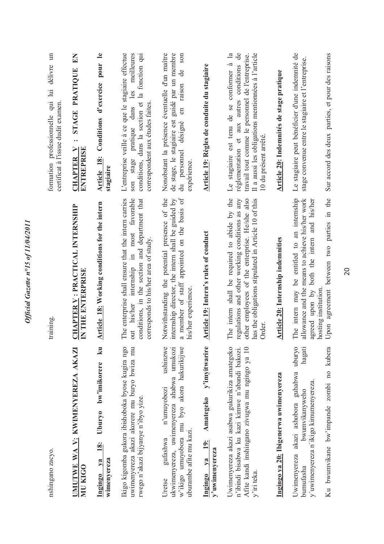| nshingano zacyo.                                                                                                                                                           | training.                                                                                                                                                                                                                 | délivre un<br>formation professionnelle qui lui<br>certificat à l'issue dudit examen.                                                                                                                                      |
|----------------------------------------------------------------------------------------------------------------------------------------------------------------------------|---------------------------------------------------------------------------------------------------------------------------------------------------------------------------------------------------------------------------|----------------------------------------------------------------------------------------------------------------------------------------------------------------------------------------------------------------------------|
| UMUTWE WA V: KWIMENYEREZA AKAZI<br>MU KIGO                                                                                                                                 | CHAPTER V: PRACTICAL INTERNSHIP<br>IN THE ENTERPRISE                                                                                                                                                                      | $E$ N<br>STAGE PRATIQUE<br>$\ddot{\phantom{0}}\phantom{0}$<br>ENTREPRISE<br>≻∣<br><b>CHAPTER</b>                                                                                                                           |
| ku<br>bw'imikorere<br>Ubury <sub>0</sub><br>$\frac{18}{3}$<br>wimenyereza<br>$1$<br>Ingingo                                                                                | Article 18: Working conditions for the intern                                                                                                                                                                             | Conditions d'exercice pour le<br>Article 18:<br>stagiaire                                                                                                                                                                  |
| Ikigo kigomba gukora ibishoboka byose kugira ngo<br>uwimenyereza akazi akorere mu buryo bwiza mu<br>rwego n'akazi bijyanye n'ibyo yize.                                    | The enterprise shall ensure that the intern carries<br>out his/her internship in most favorable<br>conditions, in the section and department that<br>corresponds to his/her area of study.                                | pratique dans les meilleures<br>L'entreprise veille à ce que le stagiaire effectue<br>conditions, dans la section et la fonction qui<br>correspondent aux études faites.<br>son stage                                      |
| ushinzwe<br>umuyobora mu byo akora hakurikijwe<br>ahabwa umukozi<br>n'umuyobozi<br>ukwimenyereza, uwimenyereza<br>uburambe afite mu kazi.<br>gufashwa<br>w'ikigo<br>Uretse | internship director, the intern shall be guided by<br>a member of staff appointed on the basis of<br>Notwithstanding the potential presence of the<br>his/her experience.                                                 | son<br>Nonobstant la présence éventuelle d'un maître<br>de stage, le stagiaire est guidé par un membre<br>$\mathbf{d}\mathbf{e}$<br>en raison<br>désigné<br>du personnel<br>expérience.                                    |
| y'imyitwarire<br>Amategeko<br>$\frac{19}{1}$<br>y'uwimenyereza<br>$1$<br>Ingingo                                                                                           | Article 19: Intern's rules of conduct                                                                                                                                                                                     | Article 19: Règles de conduite du stagiaire                                                                                                                                                                                |
| Uwimenyereza akazi asabwa gukurikiza amategeko<br>n'ibindi bisabwa ku kazi kimwe n'abandi bakozi.<br>Afite kandi inshingano zivugwa mu ngingo ya 10<br>y'iri teka          | The intern shall be required to abide by the<br>other employees of the enterprise. He/she also<br>has the obligations stipulated in Article 10 of this<br>regulations and other working conditions as any<br><b>Order</b> | Il a aussi les obligations mentionnées à l'article<br>Le stagiaire est tenu de se conformer à la<br>réglementation et aux autres conditions de<br>travail tout comme le personnel de l'entreprise.<br>10 du présent arrêté |
| Ingingo ya 20: Ibigenerwa uwimenyereza                                                                                                                                     | Article 20: Internship indemnities                                                                                                                                                                                        | Article 20: Indemnités de stage pratique                                                                                                                                                                                   |
| hagati<br>uburyo<br>akazi ashobora guhabwa<br>y'uwimenyereza n'ikigo kimumenyereza.<br>bwumvikanyweho<br>Uwimenyereza<br>bumufasha                                         | The intern may be entitled to an internship<br>allowance and the means to achieve his/her work<br>agreed upon by both the intern and his/her<br>hosting institution                                                       | Le stagiaire peut bénéficier d'une indemnité de<br>stage convenue entre le stagiaire et l'entreprise.                                                                                                                      |
| Ku bwumvikane bw'impande zombi no kubera                                                                                                                                   | Upon agreement between two parties in the                                                                                                                                                                                 | Sur accord des deux parties, et pour des raisons                                                                                                                                                                           |